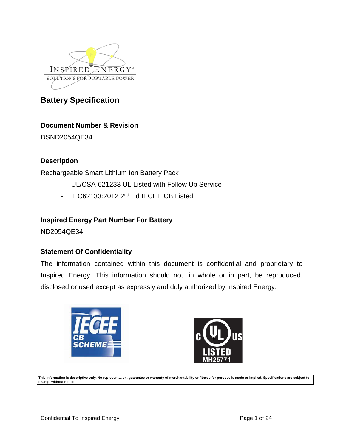

# **Document Number & Revision**

DSND2054QE34

# **Description**

Rechargeable Smart Lithium Ion Battery Pack

- UL/CSA-621233 UL Listed with Follow Up Service
- IEC62133:2012 2<sup>nd</sup> Ed IECEE CB Listed

# **Inspired Energy Part Number For Battery**

ND2054QE34

# **Statement Of Confidentiality**

The information contained within this document is confidential and proprietary to Inspired Energy. This information should not, in whole or in part, be reproduced, disclosed or used except as expressly and duly authorized by Inspired Energy.





**This information is descriptive only. No representation, guarantee or warranty of merchantability or fitness for purpose is made or implied. Specifications are subject to change without notice.**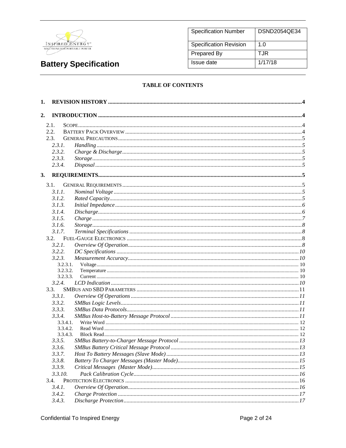

| <b>Specification Number</b>   | DSND2054QE34 |
|-------------------------------|--------------|
| <b>Specification Revision</b> | 1.0          |
| Prepared By                   | T.JR         |
| Issue date                    | 1/17/18      |

### **TABLE OF CONTENTS**

| 1. |                    |  |
|----|--------------------|--|
| 2. |                    |  |
|    | 2.1.               |  |
|    | 2.2.               |  |
|    | 2.3.               |  |
|    | 2.3.1.             |  |
|    | 2.3.2.             |  |
|    | 2.3.3.             |  |
|    | 2.3.4.             |  |
| 3. |                    |  |
|    |                    |  |
|    | 3.1.               |  |
|    | 3.1.1.             |  |
|    | 3.1.2.             |  |
|    | 3.1.3.             |  |
|    | 3.1.4.             |  |
|    | 3.1.5.             |  |
|    | 3.1.6.             |  |
|    | 3.1.7.             |  |
|    | 3.2.               |  |
|    | 3.2.1.             |  |
|    | 3.2.2.             |  |
|    | 3.2.3.<br>3.2.3.1. |  |
|    | 3.2.3.2.           |  |
|    | 3.2.3.3.           |  |
|    | 3.2.4.             |  |
|    | 3.3.               |  |
|    | 3.3.1.             |  |
|    | 3.3.2.             |  |
|    | 3.3.3.             |  |
|    | 3.3.4.             |  |
|    | 3.3.4.1.           |  |
|    | 3.3.4.2.           |  |
|    | 3.3.4.3.           |  |
|    | 3.3.5.             |  |
|    | 3.3.6.             |  |
|    | 3.3.7.             |  |
|    | 3.3.8.             |  |
|    | 3.3.9.             |  |
|    | 3.3.10.            |  |
|    | 3.4.               |  |
|    | 3.4.1.             |  |
|    | 3.4.2.             |  |
|    | 3.4.3.             |  |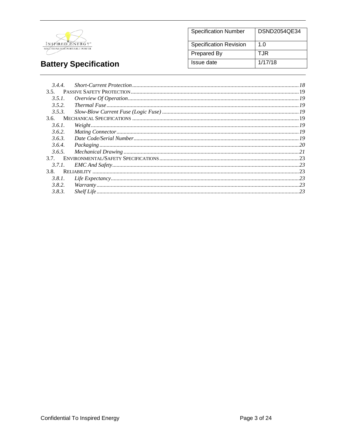

| <b>Specification Number</b>   | DSND2054QE34 |
|-------------------------------|--------------|
| <b>Specification Revision</b> | 1. $\Omega$  |
| Prepared By                   | T.JR         |
| Issue date                    | 1/17/18      |

| 3.4.4. |                                                                                                   |  |
|--------|---------------------------------------------------------------------------------------------------|--|
| 3.5.   |                                                                                                   |  |
| 3.5.1  | $\emph{Overview Of Operation} \label{OverviewOfOperation} \emph{Overview Of Operation} \emph{19}$ |  |
| 3.5.2. |                                                                                                   |  |
| 3.5.3. |                                                                                                   |  |
| 3.6.   |                                                                                                   |  |
| 3.6.1. | $Weight 19$                                                                                       |  |
| 3.6.2. |                                                                                                   |  |
| 3.6.3. |                                                                                                   |  |
| 3.6.4. |                                                                                                   |  |
| 3.6.5. |                                                                                                   |  |
| 37     |                                                                                                   |  |
| 3.7.1. |                                                                                                   |  |
| 3.8.   |                                                                                                   |  |
| 3.8.1. |                                                                                                   |  |
| 3.8.2. |                                                                                                   |  |
| 3.8.3. |                                                                                                   |  |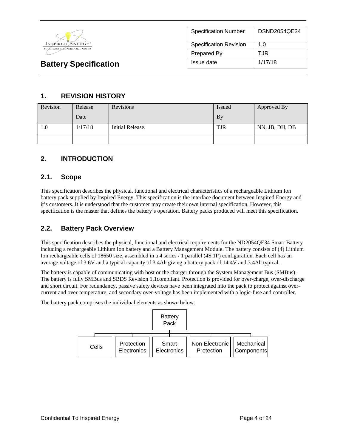

# **1. REVISION HISTORY**

| Revision | Release | Revisions        | Issued     | Approved By    |
|----------|---------|------------------|------------|----------------|
|          | Date    |                  | <b>By</b>  |                |
| 1.0      | 1/17/18 | Initial Release. | <b>TJR</b> | NN, JB, DH, DB |
|          |         |                  |            |                |

# **2. INTRODUCTION**

## **2.1. Scope**

This specification describes the physical, functional and electrical characteristics of a rechargeable Lithium Ion battery pack supplied by Inspired Energy. This specification is the interface document between Inspired Energy and it's customers. It is understood that the customer may create their own internal specification. However, this specification is the master that defines the battery's operation. Battery packs produced will meet this specification.

# **2.2. Battery Pack Overview**

This specification describes the physical, functional and electrical requirements for the ND2054QE34 Smart Battery including a rechargeable Lithium Ion battery and a Battery Management Module. The battery consists of (4) Lithium Ion rechargeable cells of 18650 size, assembled in a 4 series / 1 parallel (4S 1P) configuration. Each cell has an average voltage of 3.6V and a typical capacity of 3.4Ah giving a battery pack of 14.4V and 3.4Ah typical.

The battery is capable of communicating with host or the charger through the System Management Bus (SMBus). The battery is fully SMBus and SBDS Revision 1.1compliant. Protection is provided for over-charge, over-discharge and short circuit. For redundancy, passive safety devices have been integrated into the pack to protect against overcurrent and over-temperature, and secondary over-voltage has been implemented with a logic-fuse and controller.

The battery pack comprises the individual elements as shown below.

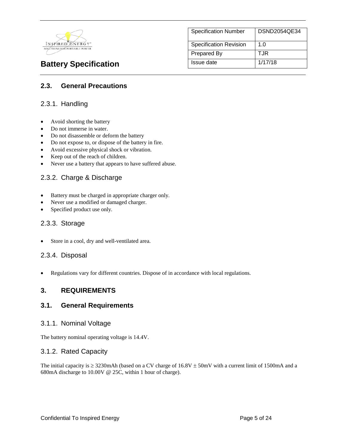

| <b>Specification Number</b>   | DSND2054QE34 |
|-------------------------------|--------------|
| <b>Specification Revision</b> | 1.0          |
| Prepared By                   | T.JR         |
| Issue date                    | 1/17/18      |

# **2.3. General Precautions**

## 2.3.1. Handling

- Avoid shorting the battery
- Do not immerse in water.
- Do not disassemble or deform the battery
- Do not expose to, or dispose of the battery in fire.
- Avoid excessive physical shock or vibration.
- Keep out of the reach of children.
- Never use a battery that appears to have suffered abuse.

## 2.3.2. Charge & Discharge

- Battery must be charged in appropriate charger only.
- Never use a modified or damaged charger.
- Specified product use only.

### 2.3.3. Storage

Store in a cool, dry and well-ventilated area.

### 2.3.4. Disposal

• Regulations vary for different countries. Dispose of in accordance with local regulations.

# **3. REQUIREMENTS**

### **3.1. General Requirements**

### 3.1.1. Nominal Voltage

The battery nominal operating voltage is 14.4V.

### 3.1.2. Rated Capacity

The initial capacity is  $\geq$  3230mAh (based on a CV charge of 16.8V  $\pm$  50mV with a current limit of 1500mA and a 680mA discharge to 10.00V @ 25C, within 1 hour of charge).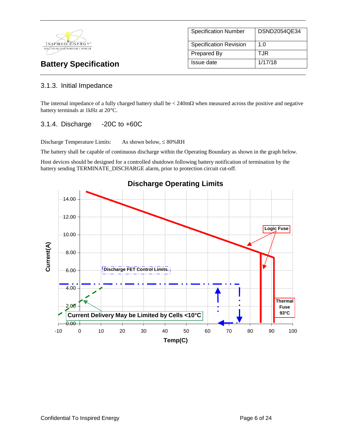

| <b>Specification Number</b>   | DSND2054QE34 |
|-------------------------------|--------------|
| <b>Specification Revision</b> | 1.0          |
| Prepared By                   | T.JR         |
| Issue date                    | 1/17/18      |

# 3.1.3. Initial Impedance

The internal impedance of a fully charged battery shall be  $\lt$  240m $\Omega$  when measured across the positive and negative battery terminals at 1kHz at 20°C.

# 3.1.4. Discharge -20C to +60C

Discharge Temperature Limits: As shown below,  $\leq 80\%RH$ 

The battery shall be capable of continuous discharge within the Operating Boundary as shown in the graph below.

Host devices should be designed for a controlled shutdown following battery notification of termination by the battery sending TERMINATE\_DISCHARGE alarm, prior to protection circuit cut-off.

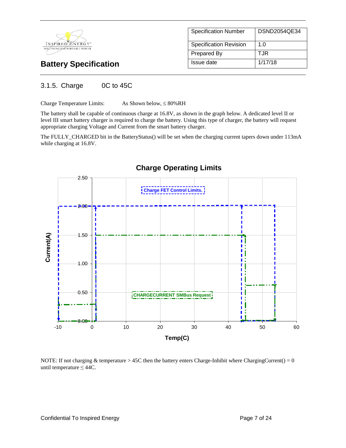

| <b>Specification Number</b>   | DSND2054QE34 |  |
|-------------------------------|--------------|--|
|                               |              |  |
| <b>Specification Revision</b> | 1 O          |  |
| Prepared By                   | T.JR         |  |
| Issue date                    | 1/17/18      |  |

# 3.1.5. Charge 0C to 45C

Charge Temperature Limits: As Shown below,  $\leq 80\%RH$ 

The battery shall be capable of continuous charge at 16.8V, as shown in the graph below. A dedicated level II or level III smart battery charger is required to charge the battery. Using this type of charger, the battery will request appropriate charging Voltage and Current from the smart battery charger.

The FULLY\_CHARGED bit in the BatteryStatus() will be set when the charging current tapers down under 113mA while charging at 16.8V.



NOTE: If not charging & temperature > 45C then the battery enters Charge-Inhibit where ChargingCurrent() =  $0$ until temperature  $\leq 44C$ .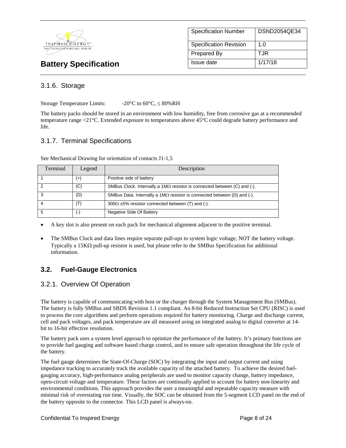

| <b>Specification Number</b>   | DSND2054QE34 |
|-------------------------------|--------------|
| <b>Specification Revision</b> | 1.0          |
| Prepared By                   | TJR          |
| Issue date                    | 1/17/18      |

# 3.1.6. Storage

Storage Temperature Limits:  $-20^{\circ}$ C to 60 $^{\circ}$ C,  $\leq 80\%$ RH

The battery packs should be stored in an environment with low humidity, free from corrosive gas at a recommended temperature range <21°C. Extended exposure to temperatures above 45°C could degrade battery performance and life.

# 3.1.7. Terminal Specifications

| Terminal | Legend   | Description                                                                     |
|----------|----------|---------------------------------------------------------------------------------|
|          | $^{(+)}$ | Positive side of battery                                                        |
| 2        | (C)      | SMBus Clock. Internally a $1M\Omega$ resistor is connected between (C) and (-). |
| 3        | (D)      | SMBus Data. Internally a 1M $\Omega$ resistor is connected between (D) and (-). |
|          | (T)      | $300\Omega \pm 5\%$ resistor connected between (T) and (-).                     |
| -5       | ( –      | Negative Side Of Battery                                                        |

See Mechanical Drawing for orientation of contacts J1-1,5

• A key slot is also present on each pack for mechanical alignment adjacent to the positive terminal.

• The SMBus Clock and data lines require separate pull-ups to system logic voltage, NOT the battery voltage. Typically a 15KΩ pull-up resistor is used, but please refer to the SMBus Specification for additional information.

# **3.2. Fuel-Gauge Electronics**

# 3.2.1. Overview Of Operation

The battery is capable of communicating with host or the charger through the System Management Bus (SMBus). The battery is fully SMBus and SBDS Revision 1.1 compliant. An 8-bit Reduced Instruction Set CPU (RISC) is used to process the core algorithms and perform operations required for battery monitoring. Charge and discharge current, cell and pack voltages, and pack temperature are all measured using an integrated analog to digital converter at 14 bit to 16-bit effective resolution.

The battery pack uses a system level approach to optimize the performance of the battery. It's primary functions are to provide fuel gauging and software based charge control, and to ensure safe operation throughout the life cycle of the battery.

The fuel gauge determines the State-Of-Charge (SOC) by integrating the input and output current and using impedance tracking to accurately track the available capacity of the attached battery. To achieve the desired fuelgauging accuracy, high-performance analog peripherals are used to monitor capacity change, battery impedance, open-circuit voltage and temperature. These factors are continually applied to account for battery non-linearity and environmental conditions. This approach provides the user a meaningful and repeatable capacity measure with minimal risk of overstating run time. Visually, the SOC can be obtained from the 5-segment LCD panel on the end of the battery opposite to the connector. This LCD panel is always-on.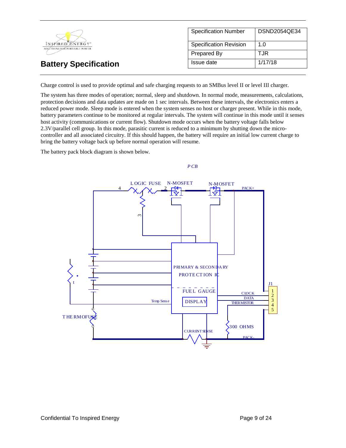|                                                  | <b>Specification Number</b>   | DSND2054QE34 |
|--------------------------------------------------|-------------------------------|--------------|
| INSPIRED ENERGY*<br>SOLÚTIONS FOR PORTABLE POWER | <b>Specification Revision</b> | 1.0          |
|                                                  | Prepared By                   | TJR          |
| <b>Battery Specification</b>                     | Issue date                    | 1/17/18      |

Charge control is used to provide optimal and safe charging requests to an SMBus level II or level III charger.

The system has three modes of operation; normal, sleep and shutdown. In normal mode, measurements, calculations, protection decisions and data updates are made on 1 sec intervals. Between these intervals, the electronics enters a reduced power mode. Sleep mode is entered when the system senses no host or charger present. While in this mode, battery parameters continue to be monitored at regular intervals. The system will continue in this mode until it senses host activity (communications or current flow). Shutdown mode occurs when the battery voltage falls below 2.3V/parallel cell group. In this mode, parasitic current is reduced to a minimum by shutting down the microcontroller and all associated circuitry. If this should happen, the battery will require an initial low current charge to bring the battery voltage back up before normal operation will resume.

The battery pack block diagram is shown below.

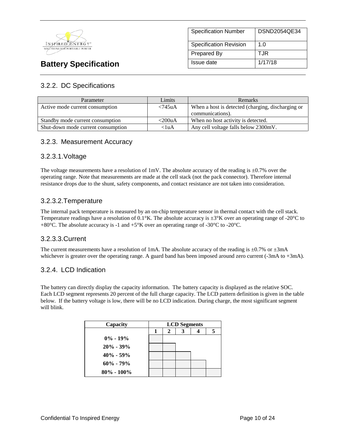

# Specification Number | DSND2054QE34 Specification Revision | 1.0 Prepared By TJR **Battery Specification Issue date** 1/17/18

# 3.2.2. DC Specifications

| Parameter                          | Limits     | <b>Remarks</b>                                    |
|------------------------------------|------------|---------------------------------------------------|
| Active mode current consumption    | $< 745$ uA | When a host is detected (charging, discharging or |
|                                    |            | communications).                                  |
| Standby mode current consumption   | $<$ 200uA  | When no host activity is detected.                |
| Shut-down mode current consumption | $<$ luA    | Any cell voltage falls below 2300mV.              |

# 3.2.3. Measurement Accuracy

# 3.2.3.1.Voltage

The voltage measurements have a resolution of 1mV. The absolute accuracy of the reading is  $\pm 0.7\%$  over the operating range. Note that measurements are made at the cell stack (not the pack connector). Therefore internal resistance drops due to the shunt, safety components, and contact resistance are not taken into consideration.

# 3.2.3.2.Temperature

The internal pack temperature is measured by an on-chip temperature sensor in thermal contact with the cell stack. Temperature readings have a resolution of  $0.1^{\circ}$ K. The absolute accuracy is  $\pm 3^{\circ}$ K over an operating range of -20 $^{\circ}$ C to +80°C. The absolute accuracy is -1 and +5°K over an operating range of -30°C to -20°C.

# 3.2.3.3.Current

The current measurements have a resolution of 1mA. The absolute accuracy of the reading is  $\pm 0.7\%$  or  $\pm 3$ mA whichever is greater over the operating range. A guard band has been imposed around zero current (-3mA to +3mA).

# 3.2.4. LCD Indication

The battery can directly display the capacity information. The battery capacity is displayed as the relative SOC. Each LCD segment represents 20 percent of the full charge capacity. The LCD pattern definition is given in the table below. If the battery voltage is low, there will be no LCD indication. During charge, the most significant segment will blink.

| Capacity       | <b>LCD</b> Segments |  |  |  |
|----------------|---------------------|--|--|--|
|                | 2                   |  |  |  |
| $0\% - 19\%$   |                     |  |  |  |
| $20\% - 39\%$  |                     |  |  |  |
| $40\% - 59\%$  |                     |  |  |  |
| $60\% - 79\%$  |                     |  |  |  |
| $80\% - 100\%$ |                     |  |  |  |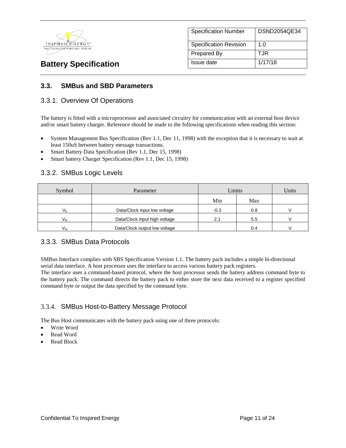

| <b>Specification Number</b>   | DSND2054QE34 |
|-------------------------------|--------------|
| <b>Specification Revision</b> | 1.0          |
| Prepared By                   | TJR          |
| Issue date                    | 1/17/18      |

# **3.3. SMBus and SBD Parameters**

## 3.3.1. Overview Of Operations

The battery is fitted with a microprocessor and associated circuitry for communication with an external host device and/or smart battery charger. Reference should be made to the following specifications when reading this section:

- System Management Bus Specification (Rev 1.1, Dec 11, 1998) with the exception that it is necessary to wait at least 150uS between battery message transactions.
- Smart Battery Data Specification (Rev 1.1, Dec 15, 1998)
- Smart battery Charger Specification (Rev 1.1, Dec 15, 1998)

## 3.3.2. SMBus Logic Levels

| Symbol                                    | Limits<br>Parameter           |        | Units |  |
|-------------------------------------------|-------------------------------|--------|-------|--|
|                                           |                               | Min    | Max   |  |
| Data/Clock input low voltage<br>Vıı       |                               | $-0.3$ | 0.8   |  |
| Data/Clock input high voltage<br>$V_{ih}$ |                               | 2.1    | 5.5   |  |
| $V_{\text{ol}}$                           | Data/Clock output low voltage |        | 0.4   |  |

### 3.3.3. SMBus Data Protocols

SMBus Interface complies with SBS Specification Version 1.1. The battery pack includes a simple bi-directional serial data interface. A host processor uses the interface to access various battery pack registers.

The interface uses a command-based protocol, where the host processor sends the battery address command byte to the battery pack. The command directs the battery pack to either store the next data received to a register specified command byte or output the data specified by the command byte.

# 3.3.4. SMBus Host-to-Battery Message Protocol

The Bus Host communicates with the battery pack using one of three protocols:

- Write Word
- Read Word
- Read Block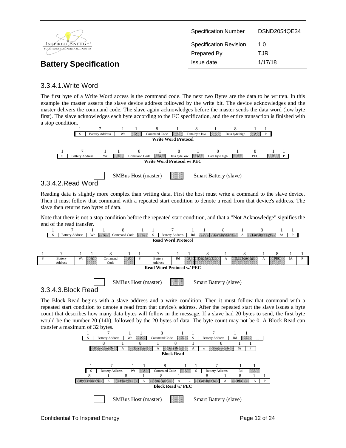|                                                  | <b>Specification Number</b>   | DSND2054QE34 |
|--------------------------------------------------|-------------------------------|--------------|
| INSPIRED ENERGY*<br>SOLÚTIONS FOR PORTABLE POWER | <b>Specification Revision</b> | 1.0          |
|                                                  | Prepared By                   | TJR          |
| <b>Battery Specification</b>                     | Issue date                    | 1/17/18      |

# 3.3.4.1.Write Word

The first byte of a Write Word access is the command code. The next two Bytes are the data to be written. In this example the master asserts the slave device address followed by the write bit. The device acknowledges and the master delivers the command code. The slave again acknowledges before the master sends the data word (low byte first). The slave acknowledges each byte according to the I²C specification, and the entire transaction is finished with a stop condition.



Reading data is slightly more complex than writing data. First the host must write a command to the slave device. Then it must follow that command with a repeated start condition to denote a read from that device's address. The slave then returns two bytes of data.

Note that there is not a stop condition before the repeated start condition, and that a "Not Acknowledge" signifies the end of the read transfer.



The Block Read begins with a slave address and a write condition. Then it must follow that command with a repeated start condition to denote a read from that device's address. After the repeated start the slave issues a byte count that describes how many data bytes will follow in the message. If a slave had 20 bytes to send, the first byte would be the number 20 (14h), followed by the 20 bytes of data. The byte count may not be 0. A Block Read can

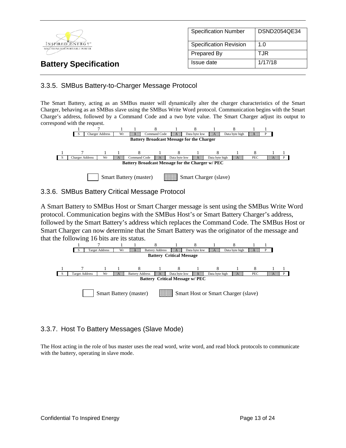

# 3.3.5. SMBus Battery-to-Charger Message Protocol

The Smart Battery, acting as an SMBus master will dynamically alter the charger characteristics of the Smart Charger, behaving as an SMBus slave using the SMBus Write Word protocol. Communication begins with the Smart Charge's address, followed by a Command Code and a two byte value. The Smart Charger adjust its output to correspond with the request.



## 3.3.6. SMBus Battery Critical Message Protocol

A Smart Battery to SMBus Host or Smart Charger message is sent using the SMBus Write Word protocol. Communication begins with the SMBus Host's or Smart Battery Charger's address, followed by the Smart Battery's address which replaces the Command Code. The SMBus Host or Smart Charger can now determine that the Smart Battery was the originator of the message and that the following 16 bits are its status.



# 3.3.7. Host To Battery Messages (Slave Mode)

The Host acting in the role of bus master uses the read word, write word, and read block protocols to communicate with the battery, operating in slave mode.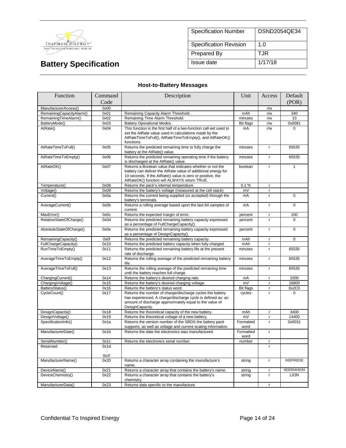

| <b>Specification Number</b>   | DSND2054QE34 |
|-------------------------------|--------------|
| <b>Specification Revision</b> | 1.0          |
| Prepared By                   | TJR          |
| Issue date                    | 1/17/18      |

# **Host-to-Battery Messages**

| Function                 | Command      | Description                                                                                                                                                                                                                              |                   | Access       | Default          |
|--------------------------|--------------|------------------------------------------------------------------------------------------------------------------------------------------------------------------------------------------------------------------------------------------|-------------------|--------------|------------------|
|                          | Code         |                                                                                                                                                                                                                                          |                   |              | (POR)            |
| ManufacturerAccess()     | 0x00         |                                                                                                                                                                                                                                          |                   | r/w          |                  |
| RemainingCapacityAlarm() | 0x01         | Remaining Capacity Alarm Threshold.                                                                                                                                                                                                      | mAh               | r/w          | 340              |
| RemainingTimeAlarm()     | 0x02         | Remaining Time Alarm Threshold.                                                                                                                                                                                                          | minutes           | r/w          | 10               |
| BatteryMode()            | 0x03         | <b>Battery Operational Modes.</b>                                                                                                                                                                                                        | <b>Bit flags</b>  | r/w          | 0x0081           |
| AtRate()                 | 0x04         | This function is the first half of a two-function call-set used to<br>set the AtRate value used in calculations made by the<br>AtRateTimeToFull(), AtRateTimeToEmpty(), and AtRateOK()<br>functions.                                     | mA                | r/w          | $\Omega$         |
| AtRateTimeToFull()       | 0x05         | Returns the predicted remaining time to fully charge the<br>battery at the AtRate() value.                                                                                                                                               | minutes           | $\mathsf{r}$ | 65535            |
| AtRateTimeToEmpty()      | 0x06         | Returns the predicted remaining operating time if the battery<br>is discharged at the AtRate() value.                                                                                                                                    | minutes           | $\mathsf{r}$ | 65535            |
| AtRateOK()               | 0x07         | Returns a Boolean value that indicates whether or not the<br>battery can deliver the AtRate value of additional energy for<br>10 seconds. If the AtRate() value is zero or positive, the<br>AtRateOK() function will ALWAYS return TRUE. | boolean           | $\mathsf{r}$ | $\mathbf{1}$     |
| Temperature()            | 0x08         | Returns the pack's internal temperature.                                                                                                                                                                                                 | $0.1$ °K          | $\mathbf{r}$ |                  |
| Voltage()                | 0x09         | Returns the battery's voltage (measured at the cell stack)                                                                                                                                                                               | mV                | $\mathsf{r}$ |                  |
| Current()                | 0x0a         | Returns the current being supplied (or accepted) through the<br>battery's terminals.                                                                                                                                                     | mA                | $\mathsf{r}$ | 0                |
| AverageCurrent()         | 0x0b         | Returns a rolling average based upon the last 64 samples of<br>current.                                                                                                                                                                  | mA                | $\mathbf r$  | $\Omega$         |
| MaxError()               | 0x0c         | Returns the expected margin of error.                                                                                                                                                                                                    | percent           | $\mathsf{r}$ | 100              |
| RelativeStateOfCharge()  | 0x0d         | Returns the predicted remaining battery capacity expressed<br>as a percentage of FullChargeCapacity().                                                                                                                                   | percent           | $\mathsf{r}$ | $\Omega$         |
| AbsoluteStateOfCharge()  | 0x0e         | Returns the predicted remaining battery capacity expressed<br>as a percentage of DesignCapacity().                                                                                                                                       | percent           | $\mathbf{r}$ | $\Omega$         |
| RemainingCapacity()      | 0x0f         | Returns the predicted remaining battery capacity.                                                                                                                                                                                        | mAh               | $\mathsf{r}$ | 0                |
| FullChargeCapacity()     | 0x10         | Returns the predicted battery capacity when fully charged.                                                                                                                                                                               | mAh               | $\mathsf{r}$ |                  |
| RunTimeToEmpty()         | 0x11         | Returns the predicted remaining battery life at the present<br>rate of discharge.                                                                                                                                                        | minutes           | $\mathbf{r}$ | 65535            |
| AverageTimeToEmpty()     | 0x12         | Returns the rolling average of the predicted remaining battery<br>life.                                                                                                                                                                  | minutes           | $\mathsf{r}$ | 65535            |
| AverageTimeToFull()      | 0x13         | Returns the rolling average of the predicted remaining time<br>until the battery reaches full charge.                                                                                                                                    | minutes           | $\mathsf{r}$ | 65535            |
| ChargingCurrent()        | 0x14         | Returns the battery's desired charging rate.                                                                                                                                                                                             | mA                | $\mathsf{r}$ | 1500             |
| ChargingVoltage()        | 0x15         | Returns the battery's desired charging voltage.                                                                                                                                                                                          | mV                | $\mathsf{r}$ | 16800            |
| BatteryStatus()          | 0x16         | Returns the battery's status word.                                                                                                                                                                                                       | <b>Bit flags</b>  | $\mathsf{r}$ | 0x2C0            |
| CycleCount()             | 0x17         | Returns the number of charge/discharge cycles the battery<br>has experienced. A charge/discharge cycle is defined as: an<br>amount of discharge approximately equal to the value of<br>DesignCapacity.                                   | cycles            | $\mathbf{r}$ | $\Omega$         |
| DesignCapacity()         | 0x18         | Returns the theoretical capacity of the new battery.                                                                                                                                                                                     | mAh               | $\mathbf{r}$ | 3400             |
| DesignVoltage()          | 0x19         | Returns the theoretical voltage of a new battery.                                                                                                                                                                                        | mV                | $\mathsf{r}$ | 14400            |
| SpecificationInfo()      | 0x1a         | Returns the version number of the SBDS the battery pack<br>supports, as well as voltage and current scaling information.                                                                                                                 | Formatted<br>word | $\mathsf{r}$ | 0x0031           |
| ManufacturerDate()       | 0x1b         | Returns the date the electronics was manufactured.                                                                                                                                                                                       | Formatted<br>word | $\mathsf{r}$ |                  |
| SerialNumber()           | 0x1c         | Returns the electronics serial number.                                                                                                                                                                                                   | number            | r            |                  |
| Reserved                 | 0x1d         |                                                                                                                                                                                                                                          |                   | r            |                  |
| ManufacturerName()       | 0x1f<br>0x20 | Returns a character array containing the manufacture's                                                                                                                                                                                   | string            | $\mathsf{r}$ | <b>INSPIREDE</b> |
|                          |              | name.                                                                                                                                                                                                                                    |                   |              |                  |
| DeviceName()             | 0x21         | Returns a character array that contains the battery's name.                                                                                                                                                                              | string            | $\mathsf{r}$ | ND2054HD34       |
| DeviceChemistry()        | 0x22         | Returns a character array that contains the battery's<br>chemistry.                                                                                                                                                                      | string            | $\mathsf{r}$ | <b>LION</b>      |
| ManufacturerData()       | 0x23         | Returns data specific to the manufacture.                                                                                                                                                                                                |                   | r            |                  |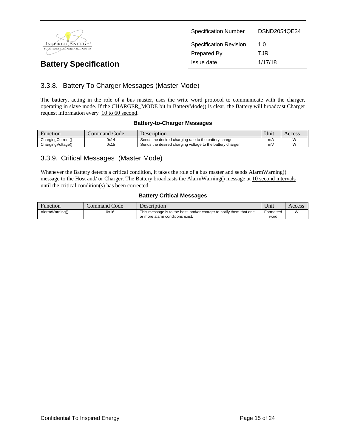

| <b>Specification Number</b>   | DSND2054QE34 |
|-------------------------------|--------------|
| <b>Specification Revision</b> | 1. $\Omega$  |
| Prepared By                   | T.JR         |
| Issue date                    | 1/17/18      |

# 3.3.8. Battery To Charger Messages (Master Mode)

The battery, acting in the role of a bus master, uses the write word protocol to communicate with the charger, operating in slave mode. If the CHARGER\_MODE bit in BatteryMode() is clear, the Battery will broadcast Charger request information every 10 to 60 second.

#### **Battery-to-Charger Messages**

| Function          | Code<br>.ommand | Description                                               | <b>TT</b><br>Jn11 | Access |
|-------------------|-----------------|-----------------------------------------------------------|-------------------|--------|
| ChargingCurrent() | 0x14            | Sends the desired charging rate to the battery charger    | mA                |        |
| ChargingVoltage() | 0x15            | Sends the desired charging voltage to the battery charger | m۱                |        |

## 3.3.9. Critical Messages (Master Mode)

Whenever the Battery detects a critical condition, it takes the role of a bus master and sends AlarmWarning() message to the Host and/ or Charger. The Battery broadcasts the AlarmWarning() message at 10 second intervals until the critical condition(s) has been corrected.

### **Battery Critical Messages**

| <b>Function</b> | Code<br>command | Description                                                                                           | Unit              | Access |
|-----------------|-----------------|-------------------------------------------------------------------------------------------------------|-------------------|--------|
| AlarmWarning()  | 0x16            | This message is to the host and/or charger to notify them that one<br>or more alarm conditions exist. | Formatted<br>word | W      |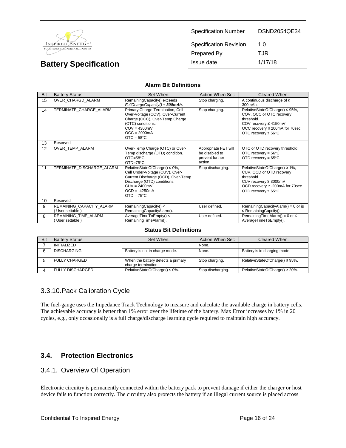

| <b>Specification Number</b>   | DSND2054QE34 |
|-------------------------------|--------------|
| <b>Specification Revision</b> | 1.0          |
| Prepared By                   | TJR          |
| Issue date                    | 1/17/18      |

#### **Alarm Bit Definitions**

| Bit | <b>Battery Status</b>                     | Set When:                                                                                                                                                                                         | Action When Set:                                                     | Cleared When:                                                                                                                                                           |
|-----|-------------------------------------------|---------------------------------------------------------------------------------------------------------------------------------------------------------------------------------------------------|----------------------------------------------------------------------|-------------------------------------------------------------------------------------------------------------------------------------------------------------------------|
| 15  | OVER CHARGD ALARM                         | RemainingCapacity() exceeds<br>FullChargeCapacity() + 300mAh.                                                                                                                                     | Stop charging.                                                       | A continuous discharge of $\geq$<br>300mAh.                                                                                                                             |
| 14  | TERMINATE CHARGE ALARM                    | Primary Charge Termination, Cell<br>Over-Voltage (COV), Over-Current<br>Charge (OCC), Over-Temp Charge<br>(OTC) conditions.<br>$COV = 4300mV$<br>$OCC = 2000mA$<br>$OTC = 58°C$                   | Stop charging.                                                       | RelativeStateOfCharge() ≤ 95%,<br>COV, OCC or OTC recovery<br>threshold.<br>COV recovery ≤ 4150mV<br>OCC recovery ≤ 200mA for 70sec<br>OTC recovery $\leq 56^{\circ}$ C |
| 13  | Reserved                                  |                                                                                                                                                                                                   |                                                                      |                                                                                                                                                                         |
| 12  | OVER TEMP ALARM                           | Over-Temp Charge (OTC) or Over-<br>Temp discharge (OTD) condition.<br>$OTC = 58°C$<br>$OTD=75^{\circ}C$                                                                                           | Appropriate FET will<br>be disabled to<br>prevent further<br>action. | OTC or OTD recovery threshold.<br>OTC recovery = $56^{\circ}$ C<br>OTD recovery = $65^{\circ}$ C                                                                        |
| 11  | TERMINATE DISCHARGE ALARM                 | RelativeStateOfCharge() ≤ 0%,<br>Cell Under-Voltage (CUV), Over-<br>Current Discharge (OCD), Over-Temp<br>Discharge (OTD) conditions.<br>$CUV = 2400mV$<br>$OCD = -4250mA$<br>$OTD = 75^{\circ}C$ | Stop discharging.                                                    | RelativeStateOfCharge() ≥ 1%,<br>CUV, OCD or OTD recovery<br>threshold.<br>CUV recovery ≥ 3000mV<br>OCD recovery ≥ -200mA for 70sec<br>OTD recovery $\leq 65^{\circ}$ C |
| 10  | Reserved                                  |                                                                                                                                                                                                   |                                                                      |                                                                                                                                                                         |
| 9   | REMAINING_CAPACITY_ALARM<br>User settable | RemainingCapacity() <<br>RemainingCapacityAlarm().                                                                                                                                                | User defined.                                                        | RemainingCapacityAlarm() = $0$ or is<br>$\leq$ Remaining Capcity().                                                                                                     |
| 8   | REMAINING TIME ALARM<br>User settable)    | AverageTimeToEmpty() <<br>RemainingTimeAlarm().                                                                                                                                                   | User defined.                                                        | RemainingTimeAlarm() = $0$ or $\leq$<br>AverageTimeToEmpty().                                                                                                           |

#### **Status Bit Definitions**

| Bit | <b>Battery Status</b>   | Set When:                                                 | Action When Set:  | Cleared When:                       |
|-----|-------------------------|-----------------------------------------------------------|-------------------|-------------------------------------|
|     | <b>INITIALIZED</b>      |                                                           | None.             |                                     |
|     | <b>DISCHARGING</b>      | Battery is not in charge mode.                            | None.             | Battery is in charging mode.        |
|     | FULLY CHARGED           | When the battery detects a primary<br>charge termination. | Stop charging.    | RelativeStateOfCharge() $\leq$ 95%. |
|     | <b>FULLY DISCHARGED</b> | RelativeStateOfCharge() $\leq 0\%$ .                      | Stop discharging. | RelativeStateOfCharge() $\geq$ 20%. |

# 3.3.10.Pack Calibration Cycle

The fuel-gauge uses the Impedance Track Technology to measure and calculate the available charge in battery cells. The achievable accuracy is better than 1% error over the lifetime of the battery. Max Error increases by 1% in 20 cycles, e.g., only occasionally is a full charge/discharge learning cycle required to maintain high accuracy.

# **3.4. Protection Electronics**

### 3.4.1. Overview Of Operation

Electronic circuitry is permanently connected within the battery pack to prevent damage if either the charger or host device fails to function correctly. The circuitry also protects the battery if an illegal current source is placed across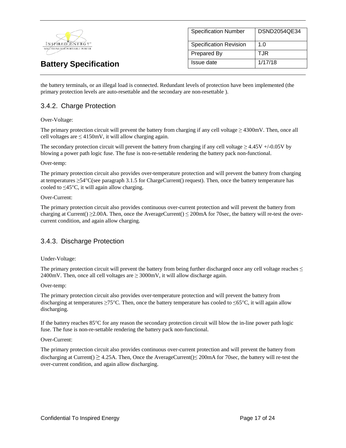

| <b>Specification Number</b>   | DSND2054QE34 |
|-------------------------------|--------------|
| <b>Specification Revision</b> | 1.0          |
| Prepared By                   | TJR          |
| Issue date                    | 1/17/18      |

the battery terminals, or an illegal load is connected. Redundant levels of protection have been implemented (the primary protection levels are auto-resettable and the secondary are non-resettable ).

# 3.4.2. Charge Protection

#### Over-Voltage:

The primary protection circuit will prevent the battery from charging if any cell voltage  $\geq$  4300mV. Then, once all cell voltages are  $\leq$  4150mV, it will allow charging again.

The secondary protection circuit will prevent the battery from charging if any cell voltage  $\geq 4.45V + (-0.05V)$  by blowing a power path logic fuse. The fuse is non-re-settable rendering the battery pack non-functional.

#### Over-temp:

The primary protection circuit also provides over-temperature protection and will prevent the battery from charging at temperatures ≥54°C(see paragraph 3.1.5 for ChargeCurrent() request). Then, once the battery temperature has cooled to  $\leq 45^{\circ}$ C, it will again allow charging.

#### Over-Current:

The primary protection circuit also provides continuous over-current protection and will prevent the battery from charging at Current()  $\geq$  2.00A. Then, once the AverageCurrent()  $\leq$  200mA for 70sec, the battery will re-test the overcurrent condition, and again allow charging.

# 3.4.3. Discharge Protection

#### Under-Voltage:

The primary protection circuit will prevent the battery from being further discharged once any cell voltage reaches  $\leq$ 2400mV. Then, once all cell voltages are  $\geq$  3000mV, it will allow discharge again.

#### Over-temp:

The primary protection circuit also provides over-temperature protection and will prevent the battery from discharging at temperatures ≥75°C. Then, once the battery temperature has cooled to ≤65°C, it will again allow discharging.

If the battery reaches 85°C for any reason the secondary protection circuit will blow the in-line power path logic fuse. The fuse is non-re-settable rendering the battery pack non-functional.

#### Over-Current:

The primary protection circuit also provides continuous over-current protection and will prevent the battery from discharging at Current()  $\geq$  4.25A. Then, Once the AverageCurrent() $\leq$  200mA for 70sec, the battery will re-test the over-current condition, and again allow discharging.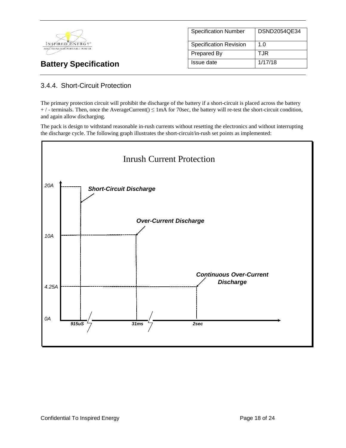

| <b>Specification Number</b>   | DSND2054QE34 |
|-------------------------------|--------------|
| <b>Specification Revision</b> | 1. $\Omega$  |
| Prepared By                   | TJR          |
| Issue date                    | 1/17/18      |

# 3.4.4. Short-Circuit Protection

The primary protection circuit will prohibit the discharge of the battery if a short-circuit is placed across the battery  $+$  / - terminals. Then, once the AverageCurrent()  $\leq$  1mA for 70sec, the battery will re-test the short-circuit condition, and again allow discharging.

The pack is design to withstand reasonable in-rush currents without resetting the electronics and without interrupting the discharge cycle. The following graph illustrates the short-circuit/in-rush set points as implemented:

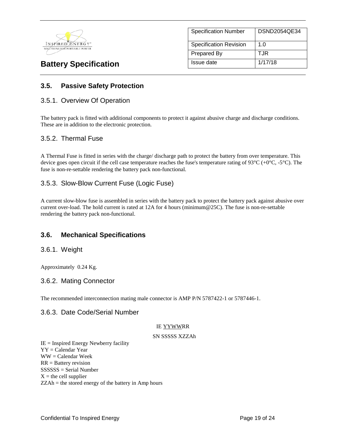

| <b>Specification Number</b>   | DSND2054QE34 |
|-------------------------------|--------------|
| <b>Specification Revision</b> | 1. $\Omega$  |
| <b>Prepared By</b>            | T.JR         |
| Issue date                    | 1/17/18      |

# **3.5. Passive Safety Protection**

### 3.5.1. Overview Of Operation

The battery pack is fitted with additional components to protect it against abusive charge and discharge conditions. These are in addition to the electronic protection.

## 3.5.2. Thermal Fuse

A Thermal Fuse is fitted in series with the charge/ discharge path to protect the battery from over temperature. This device goes open circuit if the cell case temperature reaches the fuse's temperature rating of 93 $^{\circ}$ C (+0 $^{\circ}$ C, -5 $^{\circ}$ C). The fuse is non-re-settable rendering the battery pack non-functional.

# 3.5.3. Slow-Blow Current Fuse (Logic Fuse)

A current slow-blow fuse is assembled in series with the battery pack to protect the battery pack against abusive over current over-load. The hold current is rated at 12A for 4 hours (minimum@25C). The fuse is non-re-settable rendering the battery pack non-functional.

# **3.6. Mechanical Specifications**

### 3.6.1. Weight

Approximately 0.24 Kg.

### 3.6.2. Mating Connector

The recommended interconnection mating male connector is AMP P/N 5787422-1 or 5787446-1.

### 3.6.3. Date Code/Serial Number

#### IE YYWWRR

#### SN SSSSS XZZAh

 $IE =$  Inspired Energy Newberry facility YY = Calendar Year WW = Calendar Week RR = Battery revision SSSSSS = Serial Number  $X =$  the cell supplier ZZAh = the stored energy of the battery in Amp hours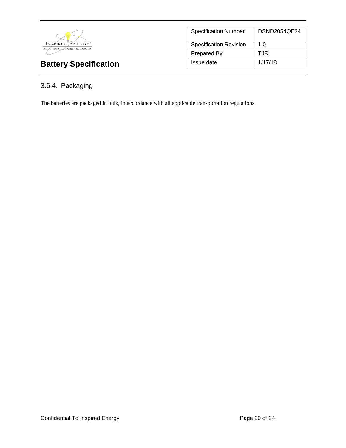

| <b>Specification Number</b>   | DSND2054QE34 |
|-------------------------------|--------------|
| <b>Specification Revision</b> | 1.0          |
| Prepared By                   | T.JR         |
| Issue date                    | 1/17/18      |

# 3.6.4. Packaging

The batteries are packaged in bulk, in accordance with all applicable transportation regulations.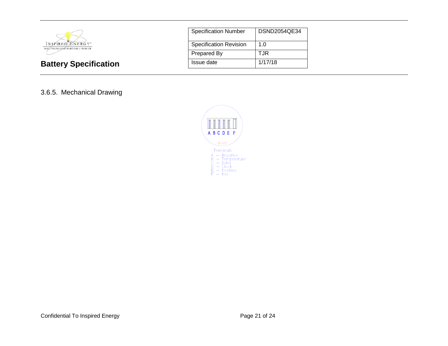

| <b>Specification Number</b> | DSND2054QE34 |
|-----------------------------|--------------|
| Specification Revision      | 1.0          |
| Prepared By                 | TJR          |
| Issue date                  | 1/17/18      |

# 3.6.5. Mechanical Drawing

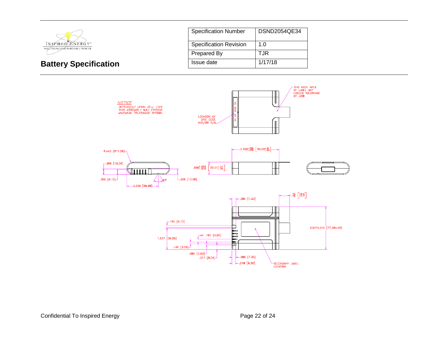

| <b>Specification Number</b>   | DSND2054QE34 |
|-------------------------------|--------------|
| <b>Specification Revision</b> | 1.0          |
| Prepared By                   | T.JR         |
| Issue date                    | 1/17/18      |

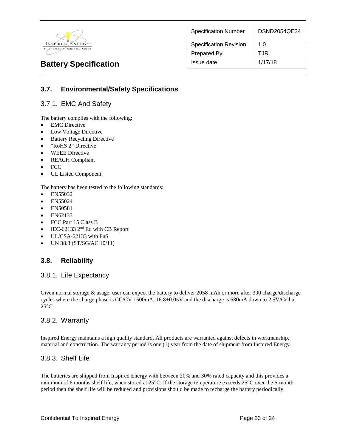

| <b>Specification Number</b>   | DSND2054QE34 |
|-------------------------------|--------------|
| <b>Specification Revision</b> | 1.0          |
| Prepared By                   | TJR          |
| Issue date                    | 1/17/18      |

# **3.7. Environmental/Safety Specifications**

# 3.7.1. EMC And Safety

The battery complies with the following:

- **EMC** Directive
- Low Voltage Directive
- **Battery Recycling Directive**
- "RoHS 2" Directive
- WEEE Directive
- REACH Compliant
- FCC
- UL Listed Component

The battery has been tested to the following standards:

- EN55032
- EN55024
- EN50581
- EN62133
- FCC Part 15 Class B
- IEC-62133 2<sup>nd</sup> Ed with CB Report
- UL/CSA-62133 with FuS
- UN 38.3 (ST/SG/AC.10/11)

# **3.8. Reliability**

### 3.8.1. Life Expectancy

Given normal storage & usage, user can expect the battery to deliver 2058 mAh or more after 300 charge/discharge cycles where the charge phase is CC/CV 1500mA, 16.8±0.05V and the discharge is 680mA down to 2.5V/Cell at 25°C.

### 3.8.2. Warranty

Inspired Energy maintains a high quality standard. All products are warranted against defects in workmanship, material and construction. The warranty period is one (1) year from the date of shipment from Inspired Energy.

### 3.8.3. Shelf Life

The batteries are shipped from Inspired Energy with between 20% and 30% rated capacity and this provides a minimum of 6 months shelf life, when stored at 25°C. If the storage temperature exceeds 25°C over the 6-month period then the shelf life will be reduced and provisions should be made to recharge the battery periodically.